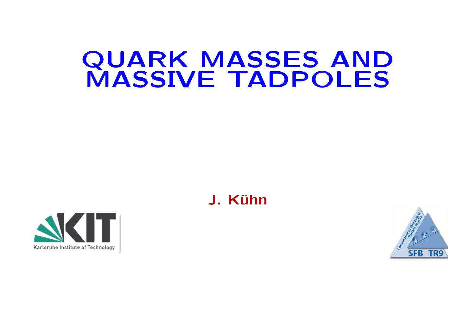# QUARK MASSES AND MASSIVE TADPOLES

J. Kühn



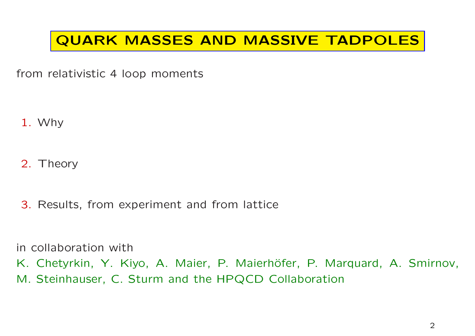## QUARK MASSES AND MASSIVE TADPOLES

from relativistic <sup>4</sup> loop moments

1. Why

2. Theory

3. Results, from experiment and from lattice

in collaboration with

K. Chetyrkin, Y. Kiyo, A. Maier, P. Maierhöfer, P. Marquard, A. Smirnov,

M. Steinhauser, C. Sturm and the HPQCD Collaboration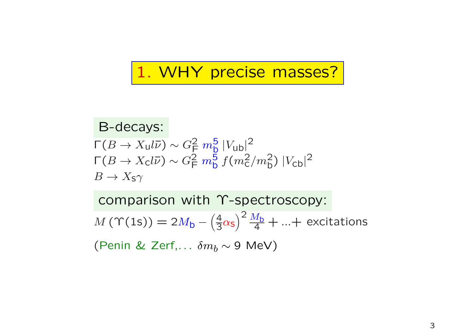# 1. WHY precise masses?

B-decays: $\Gamma(B \to X_{\text{u}} l \bar{\nu}) \sim G_{\text{F}}^2 m_{\text{b}}^5 |V_{\text{ub}}|^2$  $\Gamma(B\to X_\mathrm{C} l\bar\nu)\sim G_\textsf{F}^2\ m_\textsf{b}^5\ f(m_\textsf{C}^2/m_\textsf{b}^2)\ |V_\textsf{cb}|^2,$  $B \to X_{\mathsf{S}} \gamma$ 

comparison with Υ-spectroscopy:  $M \$  $M(\Upsilon(1s)) = 2M_{\mathsf{b}} - \left(\frac{4}{3}\alpha_{\mathsf{s}}\right)^2 \frac{M_{\mathsf{b}}}{4} + ... +$  excitations (Penin & Zerf, $\dots$   $\delta m_b$   $\sim$  9 MeV)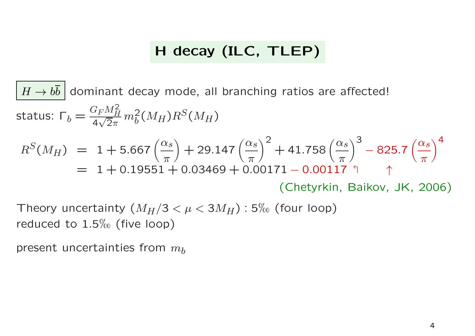## <sup>H</sup> decay (ILC, TLEP)

$$
\boxed{H \rightarrow b\bar{b}}
$$
 dominant decay mode, all branching ratios are affected!  
status:  $\Gamma_b = \frac{G_F M_H^2}{4\sqrt{2\pi}} m_b^2(M_H) R^S(M_H)$   
 $R^S(M_H) = 1 + 5.667 \left(\frac{\alpha_s}{\pi}\right) + 29.147 \left(\frac{\alpha_s}{\pi}\right)^2 + 41.758 \left(\frac{\alpha_s}{\pi}\right)^3 - 825.7 \left(\frac{\alpha_s}{\pi}\right)^4$   
 $= 1 + 0.19551 + 0.03469 + 0.00171 - 0.00117$ °1  
(Chetyrkin, Baikov, JK, 2006)

Theory uncertainty  $(M_H/3 < \mu < 3M_H)$  : 5‰ (four loop)<br>reduced to 1 E<sup>W</sup> (five loop) reduced to  $1.5\%$  (five loop)

present uncertainties from  $m_b$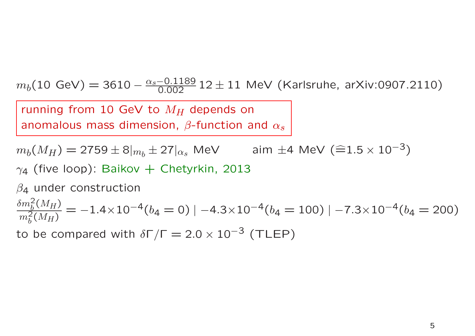$m_b(10 \text{ GeV}) = 3610 - \frac{\alpha_s - 0.1189}{0.002} 12 \pm 11 \text{ MeV (Karlsruhe, arXiv:0907.2110)}$ 

running from 10 GeV to  $M_H$  depends on<br>secondary mass dimension  $\beta$  function a anomalous mass dimension,  $\beta$ -function and  $\alpha_s$ 

 $m_b(M_H) = 2759 \pm 8\vert_{m_b} \pm 27\vert_{\alpha_s}$  MeV  $\qquad\qquad$  aim  $\pm$ 4 MeV (≘1.5  $\times$  10 $^{-3})$  $\gamma_4$  (five loop): Baikov  $+$  Chetyrkin, 2013

 $\beta$ 4 under construction

 $\frac{\delta m_b^2(M_H)}{2}$  $\frac{dm_b (M_H)}{m_b^2 (M_H)} = -1.4 \times 10^{-4} (b_4 = 0) | -4.3 \times 10^{-4} (b_4 = 100) | -7.3 \times 10^{-4} (b_4 = 200)$ 

to be compared with  $\delta\Gamma/\Gamma = 2.0 \times 10^{-3}$  (TLEP)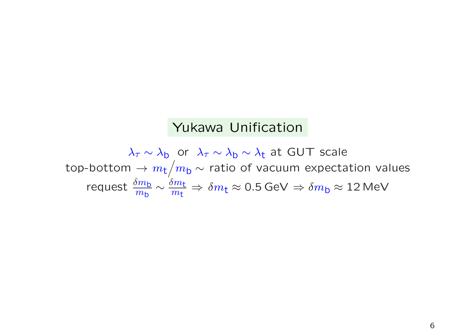### Yukawa Unification

 $\lambda_\tau \sim \lambda_{\sf b}$  or  $\lambda_\tau \sim \lambda_{\sf b} \sim \lambda_{\sf t}$  at GUT scale top-bottom  $\rightarrow m_{\rm t}/m_{\rm b} \sim$  ratio of vacuum expectation values request $\mathrm{t}\,\frac{\delta m_{\mathsf{b}}}{m_{\mathsf{b}}}\sim \frac{\delta m_{\mathsf{t}}}{m_{\mathsf{t}}}\Rightarrow \delta m_{\mathsf{t}}\approx 0.5\,\mathsf{GeV} \Rightarrow \delta m_{\mathsf{b}}\approx 12\,\mathsf{MeV}$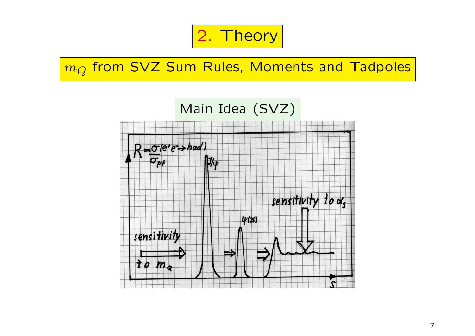

 $m_Q$  from SVZ Sum Rules, Moments and Tadpoles

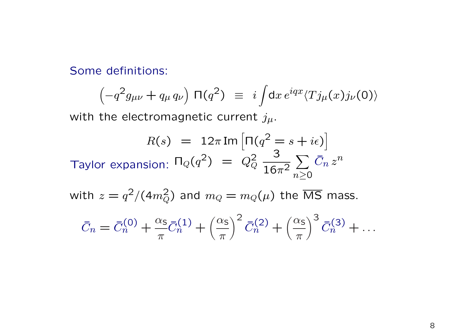Some definitions:

$$
\left(-q^2g_{\mu\nu} + q_\mu q_\nu\right)\,\Pi(q^2) \equiv i\int dx\,e^{iqx}\langle Tj_\mu(x)j_\nu(0)\rangle
$$

with the electromagnetic current  $j_{\mu}$ .

$$
R(s) = 12\pi \operatorname{Im} \left[ \Pi(q^2 = s + i\epsilon) \right]
$$
  
Taylor expansion:  $\Pi_Q(q^2) = Q_Q^2 \frac{3}{16\pi^2} \sum_{n \ge 0} \bar{C}_n z^n$ 

with  $z = q^2/(4m_Q^2)$  and  $m_Q = m_Q(\mu)$  the  $\overline{\text{MS}}$  mass.

$$
\bar{C}_n = \bar{C}_n^{(0)} + \frac{\alpha_s}{\pi} \bar{C}_n^{(1)} + \left(\frac{\alpha_s}{\pi}\right)^2 \bar{C}_n^{(2)} + \left(\frac{\alpha_s}{\pi}\right)^3 \bar{C}_n^{(3)} + \dots
$$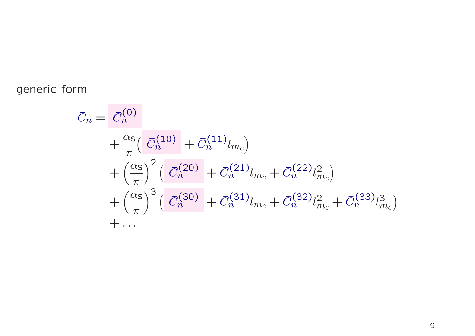generic form

$$
\begin{split} \bar{C}_n &= \bar{C}_n^{(0)} \\ &+ \frac{\alpha_{\rm S}}{\pi} \Big( \bar{C}_n^{(10)} + \bar{C}_n^{(11)} l_{m_c} \Big) \\ &+ \Big( \frac{\alpha_{\rm S}}{\pi} \Big)^2 \Big( \bar{C}_n^{(20)} + \bar{C}_n^{(21)} l_{m_c} + \bar{C}_n^{(22)} l_{m_c}^2 \Big) \\ &+ \Big( \frac{\alpha_{\rm S}}{\pi} \Big)^3 \Big( \bar{C}_n^{(30)} + \bar{C}_n^{(31)} l_{m_c} + \bar{C}_n^{(32)} l_{m_c}^2 + \bar{C}_n^{(33)} l_{m_c}^3 \Big) \\ &+ \dots \end{split}
$$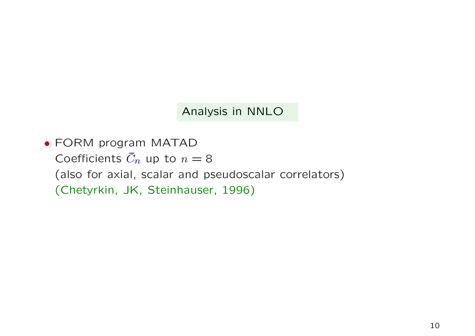Analysis in NNLO

• FORM program MATADCoefficients  $\bar{C}_n$  up to  $n = 8$  (also for axial, scalar and pseudoscalar correlators) (Chetyrkin, JK, Steinhauser, 1996)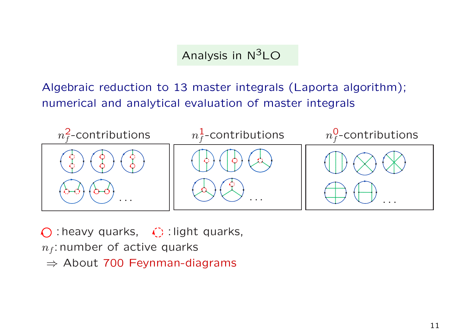### Analysis in  $N^3LO$

Algebraic reduction to <sup>13</sup> master integrals (Laporta algorithm); numerical and analytical evaluation of master integrals



 $\bigcirc$ : heavy quarks,  $\bigcirc$ : light quarks,

- $n_f$ : number of active quarks
- $\Rightarrow$  About 700 Feynman-diagrams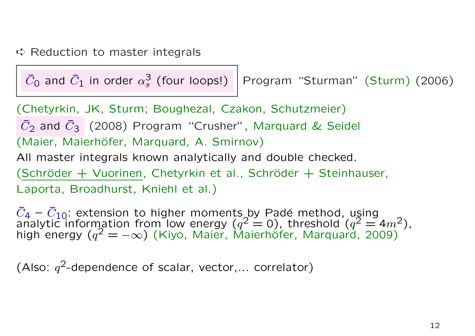## ➪ Reduction to master integrals

 $\bar{C}_0$  and  $\bar{C}_1$  in order  $\alpha_s^3$  (four loops!)  $\bigm|$  Program "Sturman" (Sturm) (2006)

(Chetyrkin, JK, Sturm; Boughezal, Czakon, Schutzmeier)  $\bar{C}_2$  and  $\bar{C}_3$  (2008) Program "Crusher", Marquard & Seidel (Maier, Maierhöfer, Marquard, A. Smirnov)<br>All master integrals known analytically and double checked.  $(Schröder + Vuorinen, Chetyrkin et al., Schröder + Steinhauser,$ Laporta, Broadhurst, Kniehl et al.)

 $\bar{C}_4 - \bar{C}_{10}$ : extension to higher moments by Padé method, using<br>analytic information from low energy ( $q^2 = 0$ ), threshold ( $q^2 = 4m^2$ ),<br>bigh energy ( $q^2 = -\infty$ ) (Kivo, Majer, Majerböfer, Marguard, 2009) high energy ( $q^2 = -\infty$ ) (Kiyo, Maier, Maierhöfer, Marquard, 2009)

(Also:  $q^2$ -dependence of scalar, vector,... correlator)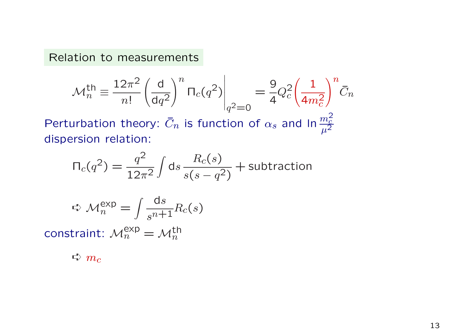Relation to measurements

$$
\mathcal{M}_n^{\text{th}} \equiv \frac{12\pi^2}{n!} \left(\frac{d}{dq^2}\right)^n \Pi_c(q^2) \Big|_{q^2=0} = \frac{9}{4} Q_c^2 \left(\frac{1}{4m_c^2}\right)^n \bar{C}_n
$$

Perturbation theory:  $\bar{C}$  $\mathcal{S}$  $\zeta_n$  is function of  $\alpha_s$  $_s$  and In $\frac{m}{\mu}$ 2 $\frac{nc}{\mu^2}$ dispersion relation:

$$
\Pi_c(q^2) = \frac{q^2}{12\pi^2} \int ds \frac{R_c(s)}{s(s - q^2)} + \text{subtraction}
$$

$$
\Rightarrow \mathcal{M}_n^{\exp} = \int \frac{\mathrm{d}s}{s^{n+1}} R_c(s)
$$

constraint:  $\mathcal{M}^{\mathsf{exp}}_{n} = \mathcal{M}^{\mathsf{th}}_{n}$ 

 $\Rightarrow m_c$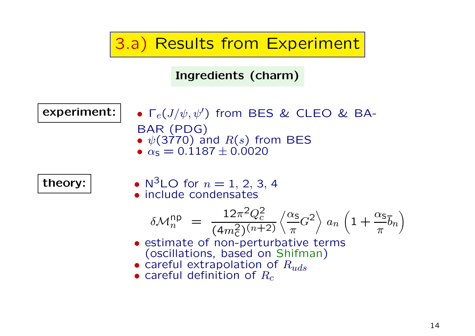3.a) Results from Experiment

Ingredients (charm)

experiment:

- $\, \boldsymbol{\cdot} \,] \quad \bullet \ \mathsf{\Gamma}_{e}(J/\psi, \psi') \,$  from BES & CLEO & BA-BAR (PDG) •  $\psi(3770)$  and  $R(s)$  from BES<br>•  $\alpha_s = 0.1187 + 0.0020$ 
	- $\alpha_{\rm s} = 0.1187 \pm 0.0020$

theory:

 ••  $N^3$ LO for  $n = 1, 2, 3, 4$ • include condensates

$$
\delta \mathcal{M}_n^{\rm np} = \frac{12\pi^2 Q_c^2}{(4m_c^2)^{(n+2)}} \left\langle \frac{\alpha_s}{\pi} G^2 \right\rangle a_n \left( 1 + \frac{\alpha_s}{\pi} \overline{b}_n \right)
$$

- estimate of non-perturbative terms<br>(oscillations, based on Shifman) (oscillations, based on Shifman)
- careful extrapolation of  $R_{uds}$
- $\bullet$  careful definition of  $R_c$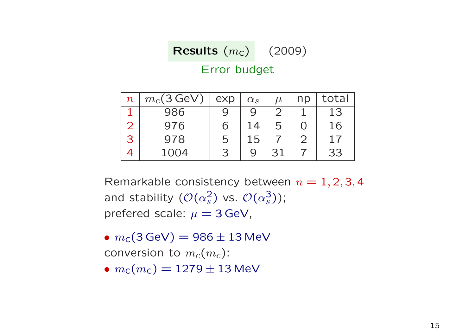$\textsf{Results}\,\left(m_{\textsf{C}}\right) \quad (2009)$ 

#### Error budget

| $\boldsymbol{n}$            | $m_c(3 \,\text{GeV})$ | exp | $\alpha_s$ | $\mu$ | np | total |
|-----------------------------|-----------------------|-----|------------|-------|----|-------|
|                             | 986                   |     |            |       |    | 13    |
| $\mathcal{D}_{\mathcal{A}}$ | 976                   | Ŋ   | 14         | 5     |    | 16    |
| 3                           | 978                   | b   | 15         |       |    | 17    |
|                             | 1004                  | З   |            | 31    |    | 33    |

Remarkable consistency between  $n = 1, 2, 3, 4$ and stability  $(\mathcal{O}(\alpha_s^2)$  vs.  $\mathcal{O}(\alpha_s^3))$ ; prefered scale:  $\mu = 3$  GeV,

 $\bullet$   $m_\mathsf{C}(\mathsf{3\,GeV}) = 986 \pm 13\,\mathsf{MeV}$ conversion to  $m_c(m_c)$ :

•  $m_c(m_c) = 1279 \pm 13$  MeV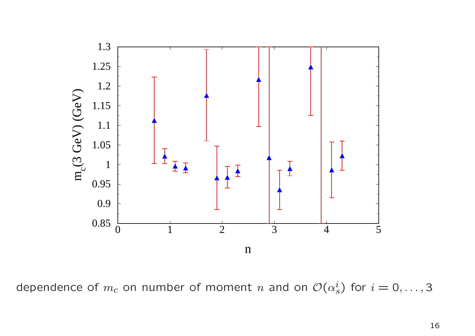

dependence of  $m_c$  on number of moment n and on  $\mathcal{O}(\alpha_s^i)$  for  $i = 0, \ldots, 3$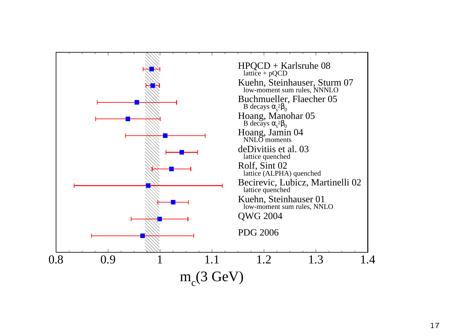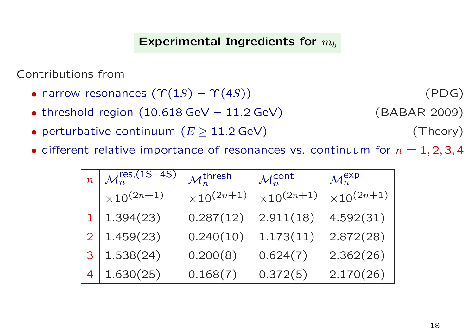### Experimental Ingredients for  $m_b$

Contributions from

- narrow resonances  $(\Upsilon(1S) \Upsilon(4S))$
- threshold region  $(10.618 \text{ GeV} 11.2 \text{ GeV})$  (BABAR 2009)
- perturbative continuum  $(E \ge 11.2 \text{ GeV})$  (Theory)
- different relative importance of resonances vs. continuum for  $n = 1, 2, 3, 4$

| $\overline{n}$ | $\mathcal{M}_n^{\text{res},(1S-4S)}$ | $\mathcal{M}_n^{\mathsf{thresh}}$ | $\mathcal{M}_n^{\text{cont}}$ | $\mathcal{M}_n^{\sf exp}$ |
|----------------|--------------------------------------|-----------------------------------|-------------------------------|---------------------------|
|                | $\times 10^{(2n+1)}$                 | $\times 10^{(2n+1)}$              | $\times 10^{(2n+1)}$          | $\times 10^{(2n+1)}$      |
|                | 1.394(23)                            | 0.287(12)                         | 2.911(18)                     | 4.592(31)                 |
|                | 1.459(23)                            | 0.240(10)                         | 1.173(11)                     | 2.872(28)                 |
| 3              | 1.538(24)                            | 0.200(8)                          | 0.624(7)                      | 2.362(26)                 |
| 4              | 1.630(25)                            | 0.168(7)                          | 0.372(5)                      | 2.170(26)                 |

(PDG)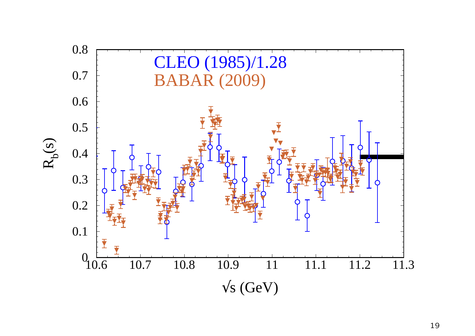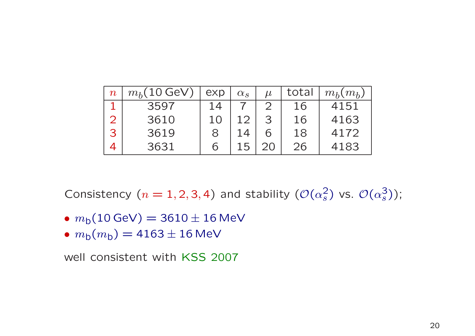| $\boldsymbol{n}$ | $m_h(10 \text{ GeV})$ | exp | $\alpha_s$ | $\mu$ | total | $m_h(m_h)$ |
|------------------|-----------------------|-----|------------|-------|-------|------------|
|                  | 3597                  |     |            |       | 16    | 4151       |
|                  | 3610                  | 10  |            | З     | 16    | 4163       |
| 3                | 3619                  |     |            |       | 18    | 4172       |
|                  | 3631                  | h   |            |       | 26    | 4183       |

Consistency ( $n = 1, 2, 3, 4$ ) and stability ( $\mathcal{O}(\alpha_s^2)$  vs.  $\mathcal{O}(\alpha_s^3)$ );

- $\bullet$   $m_{\text{b}}(10 \, \text{GeV}) = 3610 \pm 16 \, \text{MeV}$
- $m_{\text{b}}(m_{\text{b}}) = 4163 \pm 16 \,\text{MeV}$

well consistent with KSS <sup>2007</sup>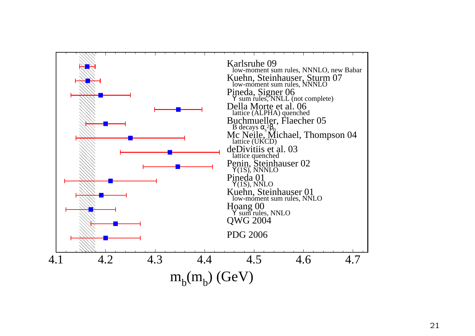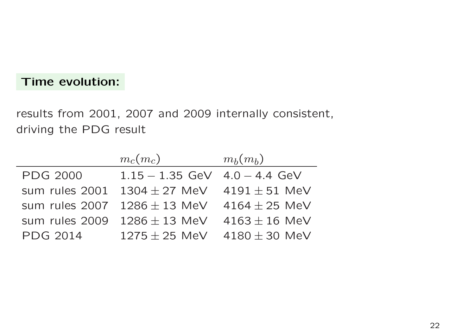#### Time evolution:

results from 2001, <sup>2007</sup> and <sup>2009</sup> internally consistent, driving the PDG result

|                 | $m_c(m_c)$        | $m_b(m_b)$        |
|-----------------|-------------------|-------------------|
| <b>PDG 2000</b> | $1.15 - 1.35$ GeV | $4.0 - 4.4$ GeV   |
| sum rules 2001  | $1304 \pm 27$ MeV | $4191 \pm 51$ MeV |
| sum rules 2007  | $1286 \pm 13$ MeV | 4164 $\pm$ 25 MeV |
| sum rules 2009  | $1286 \pm 13$ MeV | $4163 \pm 16$ MeV |
| <b>PDG 2014</b> | $1275 \pm 25$ MeV | $4180 \pm 30$ MeV |
|                 |                   |                   |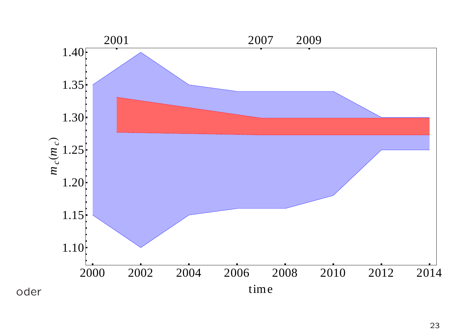

23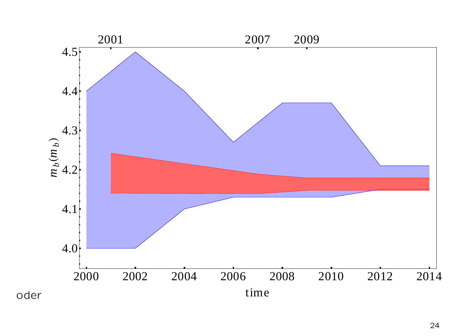

24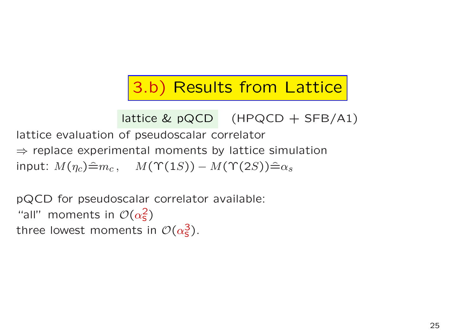# 3.b) Results from Lattice

lattice & pQCD (HPQCD + SFB/A1)

lattice evaluation of pseudoscalar correlator ⇒ replace experimental moments by lattice simulation<br>input:  $M(x)$  ⇒  $M(x)$   $M(x)$   $M(x)$   $(x)$  ⇒ input:  $M(\eta_c) \hat{=} m_c$ ,  $M(\Upsilon(1S)) - M(\Upsilon(2S)) \hat{=} \alpha_s$ 

pQCD for pseudoscalar correlator available: "all" moments in  $\mathcal{O}(\alpha_s^2)$ three lowest moments in  $\mathcal{O}(\alpha_s^3)$ .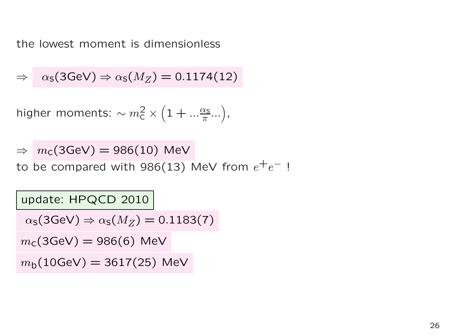the lowest moment is dimensionless

$$
\Rightarrow \quad \alpha_{\mathsf{S}}(3\text{GeV}) \Rightarrow \alpha_{\mathsf{S}}(M_Z) = 0.1174(12)
$$

higher moments:  $\sim m_\mathsf{C}^2$  $\tilde{\epsilon}$   $\times$  $(1 + ...$  $\alpha$  $\frac{\chi_{\mathsf{S}}}{\pi}... \Big)$  ,

⇒to be compared with 986(13) MeV from  $e^+e^-$  !  $m_{\mathsf{C}}(3{\mathsf{GeV}}) = 986(10)\,$  MeV

update: HPQCD <sup>2010</sup>

 $\alpha_{\mathsf{S}}(3{\mathsf{GeV}})\Rightarrow \alpha_{\mathsf{S}}(M_Z)=0.1183(7)$ 

 $m_{\mathsf{C}}(3{\rm GeV})=986(6)\,$  MeV

 $m_{\mathsf{b}}(10{\rm GeV}) = 3617(25)\,$  MeV